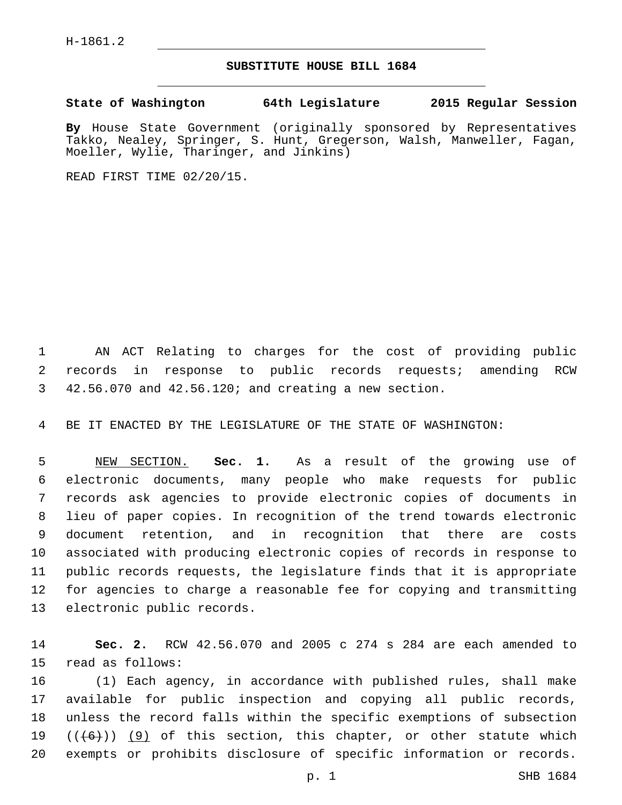## **SUBSTITUTE HOUSE BILL 1684**

**State of Washington 64th Legislature 2015 Regular Session**

**By** House State Government (originally sponsored by Representatives Takko, Nealey, Springer, S. Hunt, Gregerson, Walsh, Manweller, Fagan, Moeller, Wylie, Tharinger, and Jinkins)

READ FIRST TIME 02/20/15.

 AN ACT Relating to charges for the cost of providing public records in response to public records requests; amending RCW 42.56.070 and 42.56.120; and creating a new section.

BE IT ENACTED BY THE LEGISLATURE OF THE STATE OF WASHINGTON:

 NEW SECTION. **Sec. 1.** As a result of the growing use of electronic documents, many people who make requests for public records ask agencies to provide electronic copies of documents in lieu of paper copies. In recognition of the trend towards electronic document retention, and in recognition that there are costs associated with producing electronic copies of records in response to public records requests, the legislature finds that it is appropriate for agencies to charge a reasonable fee for copying and transmitting electronic public records.

 **Sec. 2.** RCW 42.56.070 and 2005 c 274 s 284 are each amended to 15 read as follows:

 (1) Each agency, in accordance with published rules, shall make available for public inspection and copying all public records, unless the record falls within the specific exemptions of subsection  $((+6))$  (9) of this section, this chapter, or other statute which exempts or prohibits disclosure of specific information or records.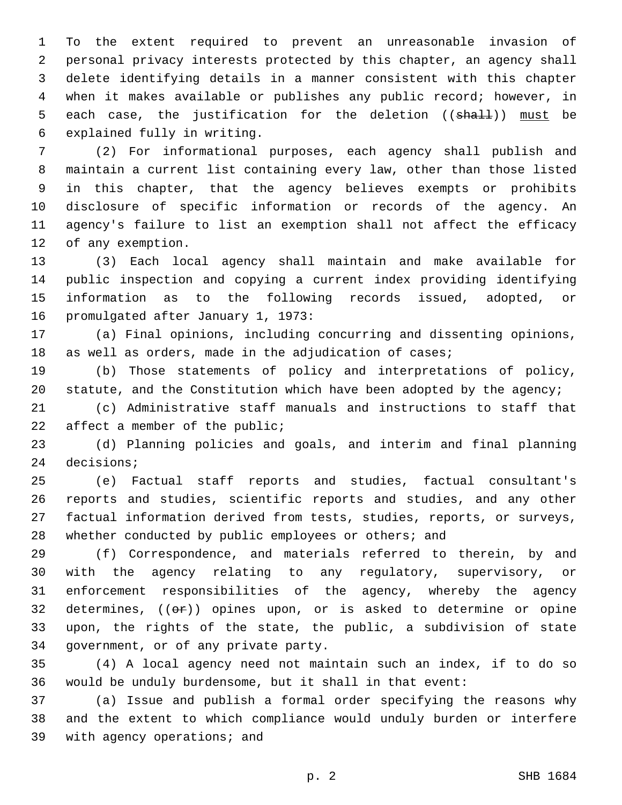To the extent required to prevent an unreasonable invasion of personal privacy interests protected by this chapter, an agency shall delete identifying details in a manner consistent with this chapter when it makes available or publishes any public record; however, in 5 each case, the justification for the deletion ((shall)) must be 6 explained fully in writing.

 (2) For informational purposes, each agency shall publish and maintain a current list containing every law, other than those listed in this chapter, that the agency believes exempts or prohibits disclosure of specific information or records of the agency. An agency's failure to list an exemption shall not affect the efficacy 12 of any exemption.

 (3) Each local agency shall maintain and make available for public inspection and copying a current index providing identifying information as to the following records issued, adopted, or 16 promulgated after January 1, 1973:

 (a) Final opinions, including concurring and dissenting opinions, 18 as well as orders, made in the adjudication of cases;

 (b) Those statements of policy and interpretations of policy, 20 statute, and the Constitution which have been adopted by the agency;

 (c) Administrative staff manuals and instructions to staff that 22 affect a member of the public;

 (d) Planning policies and goals, and interim and final planning 24 decisions;

 (e) Factual staff reports and studies, factual consultant's reports and studies, scientific reports and studies, and any other factual information derived from tests, studies, reports, or surveys, 28 whether conducted by public employees or others; and

 (f) Correspondence, and materials referred to therein, by and with the agency relating to any regulatory, supervisory, or enforcement responsibilities of the agency, whereby the agency 32 determines,  $((e<sub>F</sub>))$  opines upon, or is asked to determine or opine upon, the rights of the state, the public, a subdivision of state 34 government, or of any private party.

 (4) A local agency need not maintain such an index, if to do so would be unduly burdensome, but it shall in that event:

 (a) Issue and publish a formal order specifying the reasons why and the extent to which compliance would unduly burden or interfere 39 with agency operations; and

p. 2 SHB 1684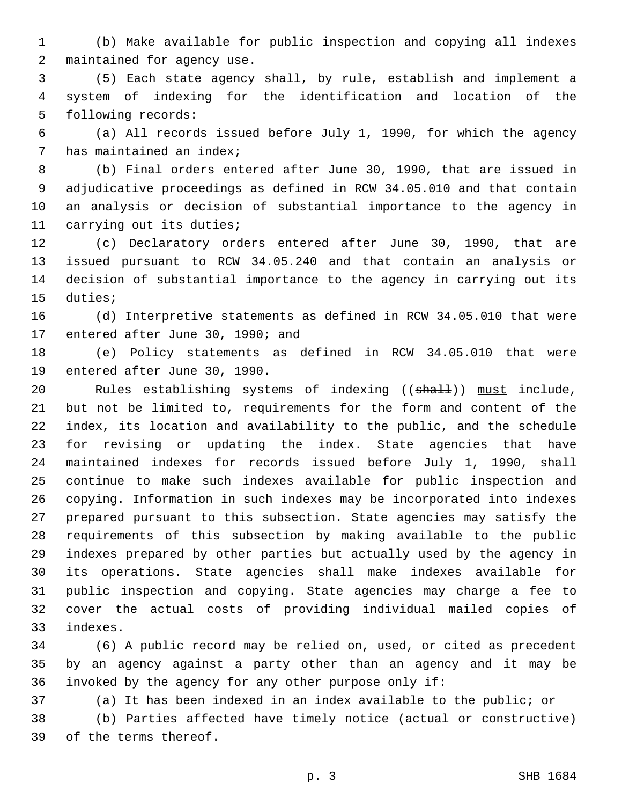(b) Make available for public inspection and copying all indexes 2 maintained for agency use.

 (5) Each state agency shall, by rule, establish and implement a system of indexing for the identification and location of the 5 following records:

 (a) All records issued before July 1, 1990, for which the agency 7 has maintained an index;

 (b) Final orders entered after June 30, 1990, that are issued in adjudicative proceedings as defined in RCW 34.05.010 and that contain an analysis or decision of substantial importance to the agency in 11 carrying out its duties;

 (c) Declaratory orders entered after June 30, 1990, that are issued pursuant to RCW 34.05.240 and that contain an analysis or decision of substantial importance to the agency in carrying out its 15 duties;

 (d) Interpretive statements as defined in RCW 34.05.010 that were 17 entered after June 30, 1990; and

 (e) Policy statements as defined in RCW 34.05.010 that were 19 entered after June 30, 1990.

20 Rules establishing systems of indexing ((shall)) must include, but not be limited to, requirements for the form and content of the index, its location and availability to the public, and the schedule for revising or updating the index. State agencies that have maintained indexes for records issued before July 1, 1990, shall continue to make such indexes available for public inspection and copying. Information in such indexes may be incorporated into indexes prepared pursuant to this subsection. State agencies may satisfy the requirements of this subsection by making available to the public indexes prepared by other parties but actually used by the agency in its operations. State agencies shall make indexes available for public inspection and copying. State agencies may charge a fee to cover the actual costs of providing individual mailed copies of indexes.33

 (6) A public record may be relied on, used, or cited as precedent by an agency against a party other than an agency and it may be invoked by the agency for any other purpose only if:

(a) It has been indexed in an index available to the public; or

 (b) Parties affected have timely notice (actual or constructive) 39 of the terms thereof.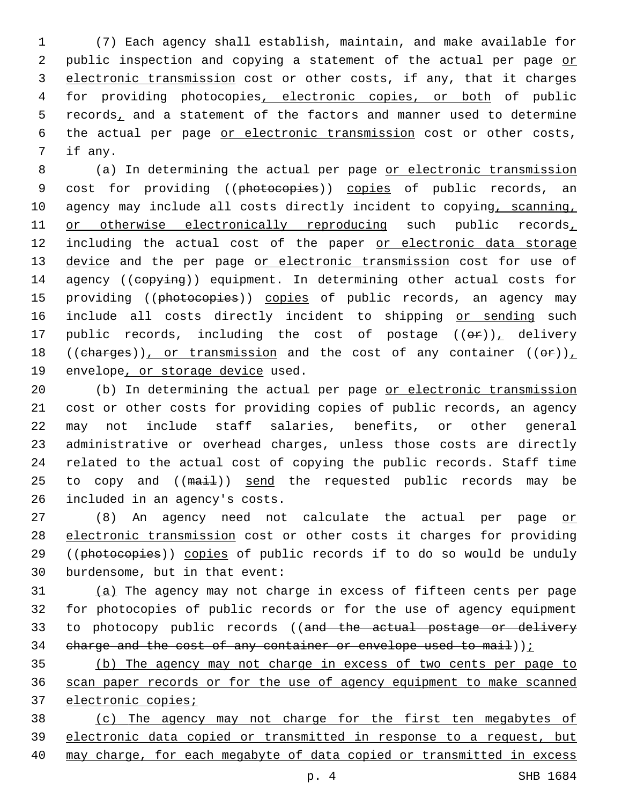1 (7) Each agency shall establish, maintain, and make available for 2 public inspection and copying a statement of the actual per page or 3 electronic transmission cost or other costs, if any, that it charges 4 for providing photocopies, electronic copies, or both of public 5 records, and a statement of the factors and manner used to determine 6 the actual per page or electronic transmission cost or other costs, 7 if any.

8 (a) In determining the actual per page or electronic transmission 9 cost for providing ((photocopies)) copies of public records, an 10 agency may include all costs directly incident to copying, scanning, 11 or otherwise electronically reproducing such public records, 12 including the actual cost of the paper or electronic data storage 13 device and the per page or electronic transmission cost for use of 14 agency ((copying)) equipment. In determining other actual costs for 15 providing ((photocopies)) copies of public records, an agency may 16 include all costs directly incident to shipping or sending such 17 public records, including the cost of postage  $((\theta \cdot \mathbf{r}))$ , delivery 18 ((charges)), or transmission and the cost of any container (( $\Theta$ r)), 19 envelope, or storage device used.

20 (b) In determining the actual per page or electronic transmission 21 cost or other costs for providing copies of public records, an agency 22 may not include staff salaries, benefits, or other general 23 administrative or overhead charges, unless those costs are directly 24 related to the actual cost of copying the public records. Staff time 25 to copy and ((mail)) send the requested public records may be 26 included in an agency's costs.

27 (8) An agency need not calculate the actual per page or 28 electronic transmission cost or other costs it charges for providing 29 ((photocopies)) copies of public records if to do so would be unduly 30 burdensome, but in that event:

31 (a) The agency may not charge in excess of fifteen cents per page 32 for photocopies of public records or for the use of agency equipment 33 to photocopy public records ((and the actual postage or delivery 34 charge and the cost of any container or envelope used to mail));

35 (b) The agency may not charge in excess of two cents per page to 36 scan paper records or for the use of agency equipment to make scanned 37 electronic copies;

38 (c) The agency may not charge for the first ten megabytes of 39 electronic data copied or transmitted in response to a request, but 40 may charge, for each megabyte of data copied or transmitted in excess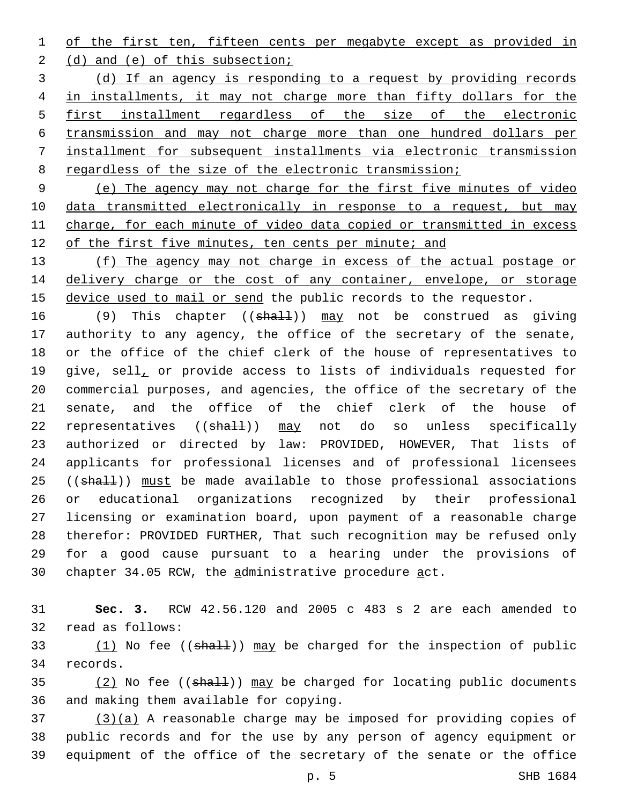1 of the first ten, fifteen cents per megabyte except as provided in

2 (d) and (e) of this subsection;

 (d) If an agency is responding to a request by providing records in installments, it may not charge more than fifty dollars for the 5 first installment regardless of the size of the electronic transmission and may not charge more than one hundred dollars per installment for subsequent installments via electronic transmission 8 regardless of the size of the electronic transmission;

9 (e) The agency may not charge for the first five minutes of video 10 data transmitted electronically in response to a request, but may 11 charge, for each minute of video data copied or transmitted in excess 12 of the first five minutes, ten cents per minute; and

13 (f) The agency may not charge in excess of the actual postage or 14 delivery charge or the cost of any container, envelope, or storage 15 device used to mail or send the public records to the requestor.

16 (9) This chapter ((shall)) may not be construed as giving authority to any agency, the office of the secretary of the senate, or the office of the chief clerk of the house of representatives to 19 give, sell, or provide access to lists of individuals requested for commercial purposes, and agencies, the office of the secretary of the senate, and the office of the chief clerk of the house of 22 representatives ((shall)) may not do so unless specifically authorized or directed by law: PROVIDED, HOWEVER, That lists of applicants for professional licenses and of professional licensees 25 ((shall)) must be made available to those professional associations or educational organizations recognized by their professional licensing or examination board, upon payment of a reasonable charge therefor: PROVIDED FURTHER, That such recognition may be refused only for a good cause pursuant to a hearing under the provisions of 30 chapter 34.05 RCW, the administrative procedure act.

31 **Sec. 3.** RCW 42.56.120 and 2005 c 483 s 2 are each amended to 32 read as follows:

33  $(1)$  No fee (( $\frac{1}{1}$ )) may be charged for the inspection of public 34 records.

 $(2)$  No fee (( $\frac{1}{2}$ )) may be charged for locating public documents 36 and making them available for copying.

 $37$  (3)(a) A reasonable charge may be imposed for providing copies of 38 public records and for the use by any person of agency equipment or 39 equipment of the office of the secretary of the senate or the office